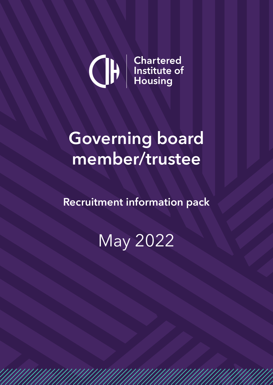

# **Governing board member/trustee**

**Recruitment information pack**

May 2022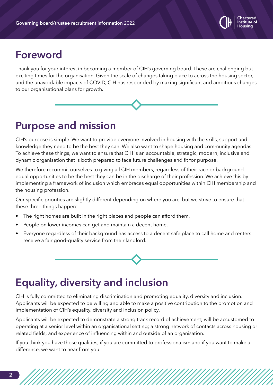

## **Foreword**

Thank you for your interest in becoming a member of CIH's governing board. These are challenging but exciting times for the organisation. Given the scale of changes taking place to across the housing sector, and the unavoidable impacts of COVID, CIH has responded by making significant and ambitious changes to our organisational plans for growth.

## **Purpose and mission**

CIH's purpose is simple. We want to provide everyone involved in housing with the skills, support and knowledge they need to be the best they can. We also want to shape housing and community agendas. To achieve these things, we want to ensure that CIH is an accountable, strategic, modern, inclusive and dynamic organisation that is both prepared to face future challenges and fit for purpose.

We therefore recommit ourselves to giving all CIH members, regardless of their race or background equal opportunities to be the best they can be in the discharge of their profession. We achieve this by implementing a framework of inclusion which embraces equal opportunities within CIH membership and the housing profession.

Our specific priorities are slightly different depending on where you are, but we strive to ensure that these three things happen:

- The right homes are built in the right places and people can afford them.
- People on lower incomes can get and maintain a decent home.
- Everyone regardless of their background has access to a decent safe place to call home and renters receive a fair good-quality service from their landlord.

## **Equality, diversity and inclusion**

CIH is fully committed to eliminating discrimination and promoting equality, diversity and inclusion. Applicants will be expected to be willing and able to make a positive contribution to the promotion and implementation of CIH's equality, diversity and inclusion policy.

Applicants will be expected to demonstrate a strong track record of achievement; will be accustomed to operating at a senior level within an organisational setting; a strong network of contacts across housing or related fields; and experience of influencing within and outside of an organisation.

If you think you have those qualities, if you are committed to professionalism and if you want to make a difference, we want to hear from you.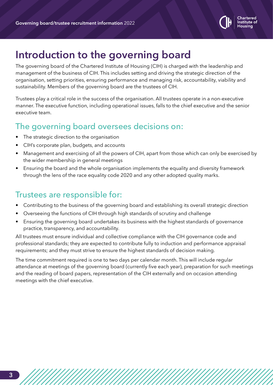

# **Introduction to the governing board**

The governing board of the Chartered Institute of Housing (CIH) is charged with the leadership and management of the business of CIH. This includes setting and driving the strategic direction of the organisation, setting priorities, ensuring performance and managing risk, accountability, viability and sustainability. Members of the governing board are the trustees of CIH.

Trustees play a critical role in the success of the organisation. All trustees operate in a non-executive manner. The executive function, including operational issues, falls to the chief executive and the senior executive team.

## The governing board oversees decisions on:

- The strategic direction to the organisation
- CIH's corporate plan, budgets, and accounts
- Management and exercising of all the powers of CIH, apart from those which can only be exercised by the wider membership in general meetings
- Ensuring the board and the whole organisation implements the equality and diversity framework through the lens of the race equality code 2020 and any other adopted quality marks.

### Trustees are responsible for:

- Contributing to the business of the governing board and establishing its overall strategic direction
- Overseeing the functions of CIH through high standards of scrutiny and challenge
- Ensuring the governing board undertakes its business with the highest standards of governance practice, transparency, and accountability.

All trustees must ensure individual and collective compliance with the CIH governance code and professional standards; they are expected to contribute fully to induction and performance appraisal requirements; and they must strive to ensure the highest standards of decision making.

The time commitment required is one to two days per calendar month. This will include regular attendance at meetings of the governing board (currently five each year), preparation for such meetings and the reading of board papers, representation of the CIH externally and on occasion attending meetings with the chief executive.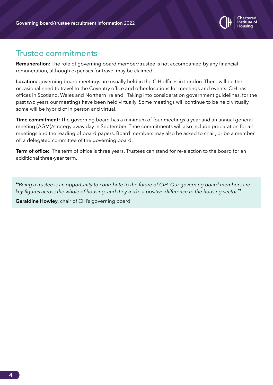

#### Trustee commitments

**Remuneration:** The role of governing board member/trustee is not accompanied by any financial remuneration, although expenses for travel may be claimed

**Location:** governing board meetings are usually held in the CIH offices in London. There will be the occasional need to travel to the Coventry office and other locations for meetings and events. CIH has offices in Scotland, Wales and Northern Ireland. Taking into consideration government guidelines, for the past two years our meetings have been held virtually. Some meetings will continue to be held virtually, some will be hybrid of in person and virtual.

**Time commitment:** The governing board has a minimum of four meetings a year and an annual general meeting (AGM)/strategy away day in September. Time commitments will also include preparation for all meetings and the reading of board papers. Board members may also be asked to chair, or be a member of, a delegated committee of the governing board.

**Term of office:** The term of office is three years. Trustees can stand for re-election to the board for an additional three-year term.

**"***Being a trustee is an opportunity to contribute to the future of CIH. Our governing board members are key figures across the whole of housing, and they make a positive difference to the housing sector.***"**

**Geraldine Howley**, chair of CIH's governing board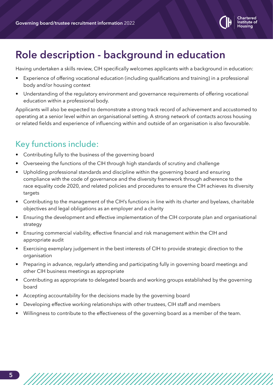

# **Role description - background in education**

Having undertaken a skills review, CIH specifically welcomes applicants with a background in education:

- Experience of offering vocational education (including qualifications and training) in a professional body and/or housing context
- Understanding of the regulatory environment and governance requirements of offering vocational education within a professional body.

Applicants will also be expected to demonstrate a strong track record of achievement and accustomed to operating at a senior level within an organisational setting. A strong network of contacts across housing or related fields and experience of influencing within and outside of an organisation is also favourable.

## Key functions include:

- Contributing fully to the business of the governing board
- Overseeing the functions of the CIH through high standards of scrutiny and challenge
- Upholding professional standards and discipline within the governing board and ensuring compliance with the code of governance and the diversity framework through adherence to the race equality code 2020, and related policies and procedures to ensure the CIH achieves its diversity targets
- Contributing to the management of the CIH's functions in line with its charter and byelaws, charitable objectives and legal obligations as an employer and a charity
- Ensuring the development and effective implementation of the CIH corporate plan and organisational strategy
- Ensuring commercial viability, effective financial and risk management within the CIH and appropriate audit
- Exercising exemplary judgement in the best interests of CIH to provide strategic direction to the organisation
- Preparing in advance, regularly attending and participating fully in governing board meetings and other CIH business meetings as appropriate
- Contributing as appropriate to delegated boards and working groups established by the governing board
- Accepting accountability for the decisions made by the governing board
- Developing effective working relationships with other trustees, CIH staff and members
- Willingness to contribute to the effectiveness of the governing board as a member of the team.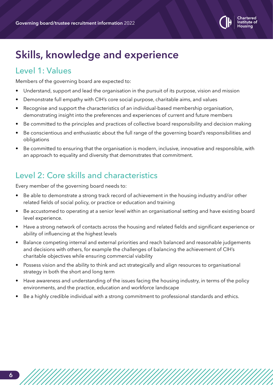

# **Skills, knowledge and experience**

## Level 1: Values

Members of the governing board are expected to:

- Understand, support and lead the organisation in the pursuit of its purpose, vision and mission
- Demonstrate full empathy with CIH's core social purpose, charitable aims, and values
- Recognise and support the characteristics of an individual-based membership organisation, demonstrating insight into the preferences and experiences of current and future members
- Be committed to the principles and practices of collective board responsibility and decision making
- Be conscientious and enthusiastic about the full range of the governing board's responsibilities and obligations
- Be committed to ensuring that the organisation is modern, inclusive, innovative and responsible, with an approach to equality and diversity that demonstrates that commitment.

## Level 2: Core skills and characteristics

Every member of the governing board needs to:

- Be able to demonstrate a strong track record of achievement in the housing industry and/or other related fields of social policy, or practice or education and training
- Be accustomed to operating at a senior level within an organisational setting and have existing board level experience.
- Have a strong network of contacts across the housing and related fields and significant experience or ability of influencing at the highest levels
- Balance competing internal and external priorities and reach balanced and reasonable judgements and decisions with others, for example the challenges of balancing the achievement of CIH's charitable objectives while ensuring commercial viability
- Possess vision and the ability to think and act strategically and align resources to organisational strategy in both the short and long term
- Have awareness and understanding of the issues facing the housing industry, in terms of the policy environments, and the practice, education and workforce landscape
- Be a highly credible individual with a strong commitment to professional standards and ethics.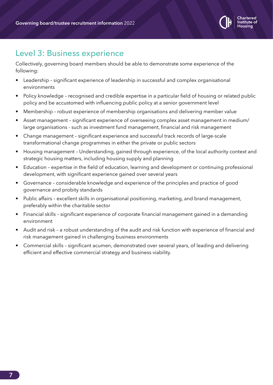

## Level 3: Business experience

Collectively, governing board members should be able to demonstrate some experience of the following:

- Leadership significant experience of leadership in successful and complex organisational environments
- Policy knowledge recognised and credible expertise in a particular field of housing or related public policy and be accustomed with influencing public policy at a senior government level
- Membership robust experience of membership organisations and delivering member value
- Asset management significant experience of overseeing complex asset management in medium/ large organisations - such as investment fund management, financial and risk management
- Change management significant experience and successful track records of large-scale transformational change programmes in either the private or public sectors
- Housing management Understanding, gained through experience, of the local authority context and strategic housing matters, including housing supply and planning
- Education expertise in the field of education, learning and development or continuing professional development, with significant experience gained over several years
- Governance considerable knowledge and experience of the principles and practice of good governance and probity standards
- Public affairs excellent skills in organisational positioning, marketing, and brand management, preferably within the charitable sector
- Financial skills significant experience of corporate financial management gained in a demanding environment
- Audit and risk a robust understanding of the audit and risk function with experience of financial and risk management gained in challenging business environments
- Commercial skills significant acumen, demonstrated over several years, of leading and delivering efficient and effective commercial strategy and business viability.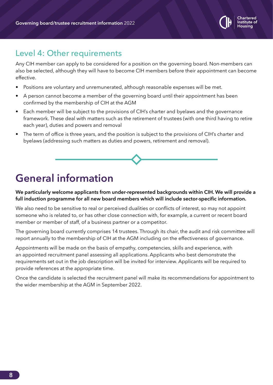

#### Level 4: Other requirements

Any CIH member can apply to be considered for a position on the governing board. Non-members can also be selected, although they will have to become CIH members before their appointment can become effective.

- Positions are voluntary and unremunerated, although reasonable expenses will be met.
- A person cannot become a member of the governing board until their appointment has been confirmed by the membership of CIH at the AGM
- Each member will be subject to the provisions of CIH's charter and byelaws and the governance framework. These deal with matters such as the retirement of trustees (with one third having to retire each year), duties and powers and removal
- The term of office is three years, and the position is subject to the provisions of CIH's charter and byelaws (addressing such matters as duties and powers, retirement and removal).

# **General information**

**We particularly welcome applicants from under-represented backgrounds within CIH. We will provide a full induction programme for all new board members which will include sector-specific information.** 

We also need to be sensitive to real or perceived dualities or conflicts of interest, so may not appoint someone who is related to, or has other close connection with, for example, a current or recent board member or member of staff, of a business partner or a competitor.

The governing board currently comprises 14 trustees. Through its chair, the audit and risk committee will report annually to the membership of CIH at the AGM including on the effectiveness of governance.

Appointments will be made on the basis of empathy, competencies, skills and experience, with an appointed recruitment panel assessing all applications. Applicants who best demonstrate the requirements set out in the job description will be invited for interview. Applicants will be required to provide references at the appropriate time.

Once the candidate is selected the recruitment panel will make its recommendations for appointment to the wider membership at the AGM in September 2022.